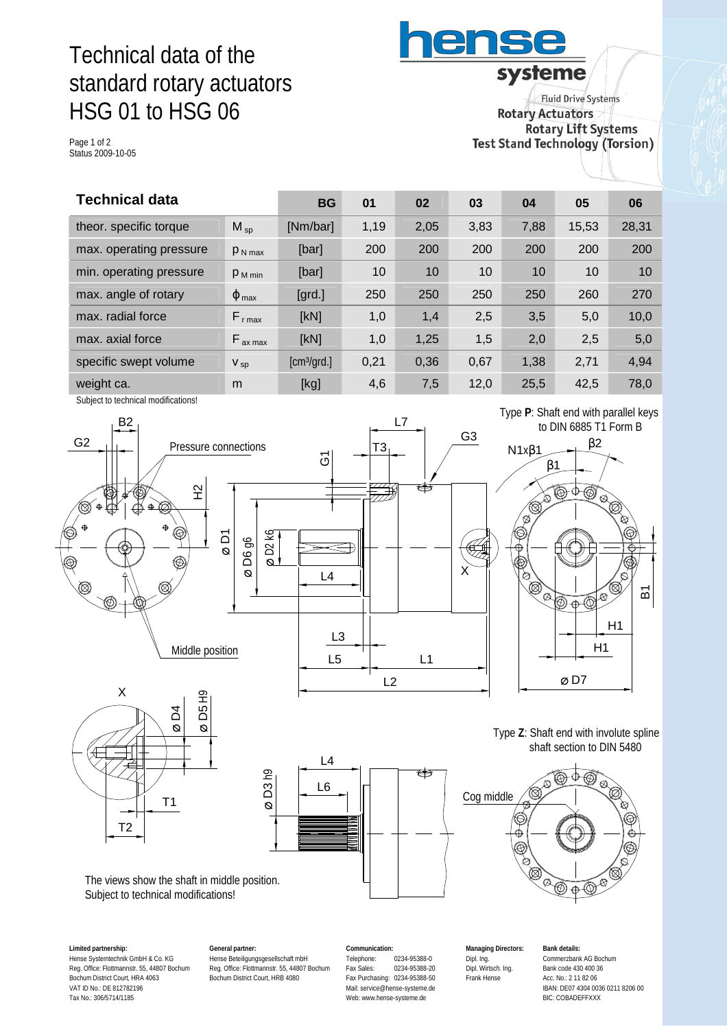# Technical data of the standard rotary actuators HSG 01 to HSG 06

Page 1 of 2 Status 2009-10-05

**Fluid Drive Systems Rotary Actuators Rotary Lift Systems** Test Stand Technology (Torsion)

systeme

ens

| <b>Technical data</b>    |                            | 01        | 02   | 03   | 04   | 05    | 06    |
|--------------------------|----------------------------|-----------|------|------|------|-------|-------|
| $M_{sp}$                 | [Nm/bar]                   | 1,19      | 2,05 | 3,83 | 7,88 | 15,53 | 28,31 |
| $P_{N \max}$             | [bar]                      | 200       | 200  | 200  | 200  | 200   | 200   |
| $P_{M \text{ min}}$      | [bar]                      | 10        | 10   | 10   | 10   | 10    | 10    |
| $\varphi$ <sub>max</sub> | $\left[\text{grd.}\right]$ | 250       | 250  | 250  | 250  | 260   | 270   |
| $F_{r \text{ max}}$      | [kN]                       | 1,0       | 1,4  | 2,5  | 3,5  | 5,0   | 10,0  |
| $F_{ax \, max}$          | [kN]                       | 1,0       | 1,25 | 1,5  | 2,0  | 2,5   | 5,0   |
| $V_{sp}$                 | [cm <sup>3</sup> /grd.]    | 0,21      | 0,36 | 0,67 | 1,38 | 2,71  | 4,94  |
| m                        | [kg]                       | 4,6       | 7,5  | 12,0 | 25,5 | 42,5  | 78,0  |
|                          |                            | <b>BG</b> |      |      |      |       |       |

Subject to technical modifications!



**Limited partnership:** Hense Systemtechnik GmbH & Co. KG Reg. Office: Flottmannstr. 55, 44807 Bochum Bochum District Court, HRA 4063 VAT ID No.: DE 812782196 Tax No.: 306/5714/1185

**General partner:** Hense Beteiligungsgesellschaft mbH Reg. Office: Flottmannstr. 55, 44807 Bochum Bochum District Court, HRB 4080

**Communication:** Telephone: 0234-95388-0<br>Fax Sales: 0234-95388-2 Fax Sales: 0234-95388-20 Fax Purchasing: 0234-95388-50 Mail: [service@hense-systeme.de](mailto:service@hense-systeme.de) Web: [www.hense-systeme.de](http://www.hense-systeme.de)

**Managing Directors:** Dipl. Ing. Dipl. Wirtsch. Ing. Frank Hense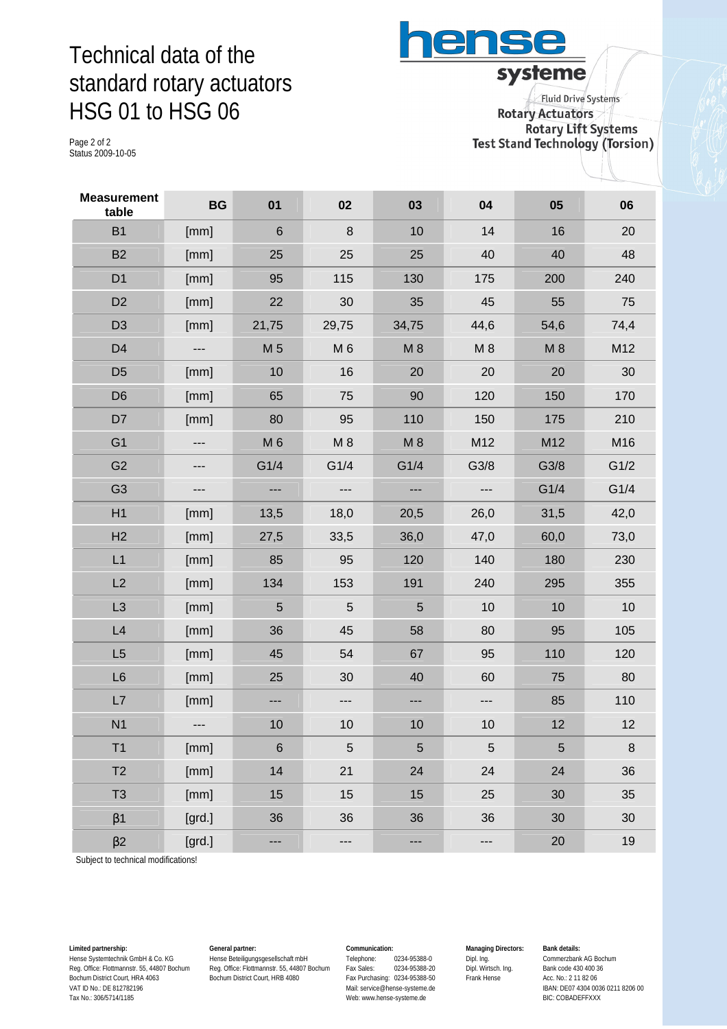### Technical data of the standard rotary actuators HSG 01 to HSG 06

ense systeme **Fluid Drive Systems** 

Page 2 of 2 Status 2009-10-05

**Rotary Actuators Rotary Lift Systems Test Stand Technology (Torsion)** 

| <b>Measurement</b><br>table | <b>BG</b> | 01             | 02                         | 03    | 04          | 05   | 06   |
|-----------------------------|-----------|----------------|----------------------------|-------|-------------|------|------|
| B <sub>1</sub>              | [mm]      | $\,6\,$        | $\boldsymbol{8}$           | 10    | 14          | 16   | 20   |
| B <sub>2</sub>              | [mm]      | 25             | 25                         | 25    | 40          | 40   | 48   |
| D <sub>1</sub>              | [mm]      | 95             | 115                        | 130   | 175         | 200  | 240  |
| D <sub>2</sub>              | [mm]      | 22             | 30                         | 35    | 45          | 55   | 75   |
| D <sub>3</sub>              | [mm]      | 21,75          | 29,75                      | 34,75 | 44,6        | 54,6 | 74,4 |
| D <sub>4</sub>              | ---       | M 5            | M <sub>6</sub>             | M8    | $M_8$       | M8   | M12  |
| D <sub>5</sub>              | [mm]      | 10             | 16                         | 20    | 20          | 20   | 30   |
| D <sub>6</sub>              | [mm]      | 65             | 75                         | 90    | 120         | 150  | 170  |
| D7                          | [mm]      | 80             | 95                         | 110   | 150         | 175  | 210  |
| G <sub>1</sub>              | ---       | M 6            | M8                         | M8    | M12         | M12  | M16  |
| G <sub>2</sub>              | ---       | G1/4           | G1/4                       | G1/4  | G3/8        | G3/8 | G1/2 |
| G <sub>3</sub>              | ---       | ---            | $\qquad \qquad -$          | ---   | ---         | G1/4 | G1/4 |
| H1                          | [mm]      | 13,5           | 18,0                       | 20,5  | 26,0        | 31,5 | 42,0 |
| H2                          | [mm]      | 27,5           | 33,5                       | 36,0  | 47,0        | 60,0 | 73,0 |
| L1                          | [mm]      | 85             | 95                         | 120   | 140         | 180  | 230  |
| L2                          | [mm]      | 134            | 153                        | 191   | 240         | 295  | 355  |
| L3                          | [mm]      | $5\phantom{.}$ | 5                          | 5     | 10          | 10   | 10   |
| L4                          | [mm]      | 36             | 45                         | 58    | 80          | 95   | 105  |
| L5                          | [mm]      | 45             | 54                         | 67    | 95          | 110  | 120  |
| L <sub>6</sub>              | [mm]      | 25             | 30                         | 40    | 60          | 75   | 80   |
| L7                          | [mm]      | $\overline{a}$ | ---                        | ---   | ---         | 85   | 110  |
| N <sub>1</sub>              |           | 10             | 10                         | 10    | 10          | 12   | 12   |
| T <sub>1</sub>              | [mm]      | $\,$ 6 $\,$    | $\sqrt{5}$                 | 5     | $\mathbf 5$ | 5    | 8    |
| T <sub>2</sub>              | [mm]      | 14             | 21                         | 24    | 24          | 24   | 36   |
| T <sub>3</sub>              | [mm]      | 15             | 15                         | 15    | 25          | 30   | 35   |
| $\beta$ 1                   | [grd.]    | 36             | 36                         | 36    | 36          | 30   | 30   |
| $\beta$ 2                   | [grd.]    | ---            | $\qquad \qquad - \qquad -$ | ---   | ---         | 20   | 19   |

Subject to technical modifications!

**Limited partnership:** Hense Systemtechnik GmbH & Co. KG Reg. Office: Flottmannstr. 55, 44807 Bochum Bochum District Court, HRA 4063 VAT ID No.: DE 812782196 Tax No.: 306/5714/1185

**General partner:** Hense Beteiligungsgesellschaft mbH Reg. Office: Flottmannstr. 55, 44807 Bochum Bochum District Court, HRB 4080

#### **Communication:**

Telephone: 0234-95388-0<br>Fax Sales: 0234-95388-20 Fax Sales: 0234-95388-20 Fax Purchasing: 0234-95388-50 Mail: [service@hense-systeme.de](mailto:service@hense-systeme.de) Web: [www.hense-systeme.de](http://www.hense-systeme.de)

**Managing Directors:** Dipl. Ing. Dipl. Wirtsch. Ing. Frank Hense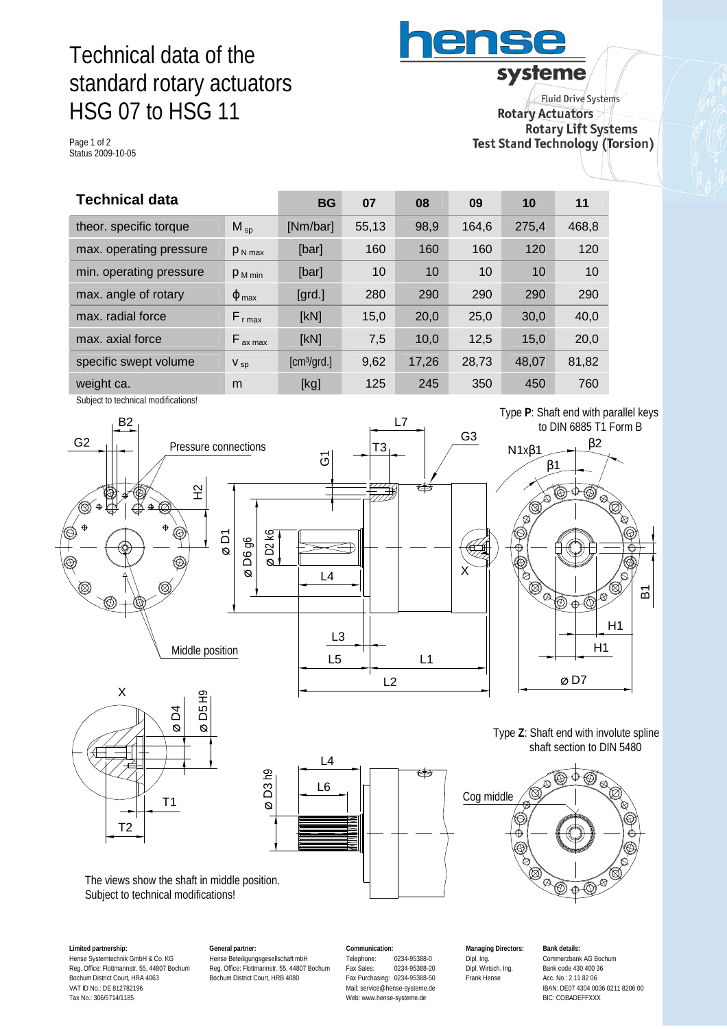# Technical data of the standard rotary actuators HSG 07 to HSG 11

Page 1 of 2 Status 2009-10-05

systeme **Fluid Drive Systems Rotary Actuators Rotary Lift Systems** Test Stand Technology (Torsion)

ens

| <b>Technical data</b>   |                          | <b>BG</b>               | 07    | 08    | 09    | 10    | 11    |
|-------------------------|--------------------------|-------------------------|-------|-------|-------|-------|-------|
| theor. specific torque  | $M_{SD}$                 | [Nm/bar]                | 55,13 | 98,9  | 164.6 | 275,4 | 468,8 |
| max. operating pressure | $P_{N \text{ max}}$      | [bar]                   | 160   | 160   | 160   | 120   | 120   |
| min. operating pressure | $P_{M \text{min}}$       | [bar]                   | 10    | 10    | 10    | 10    | 10    |
| max. angle of rotary    | $\varphi$ <sub>max</sub> | [ <sub>grd.</sub> ]     | 280   | 290   | 290   | 290   | 290   |
| max. radial force       | $F_{r \text{ max}}$      | [kN]                    | 15,0  | 20,0  | 25,0  | 30,0  | 40,0  |
| max. axial force        | $F_{ax \, max}$          | [kN]                    | 7,5   | 10,0  | 12,5  | 15,0  | 20,0  |
| specific swept volume   | $V_{sp}$                 | [cm <sup>3</sup> /grd.] | 9,62  | 17,26 | 28,73 | 48,07 | 81,82 |
| weight ca.              | m                        | [kg]                    | 125   | 245   | 350   | 450   | 760   |

Subject to technical modifications!



**Limited partnership:** Hense Systemtechnik GmbH & Co. KG Reg. Office: Flottmannstr. 55, 44807 Bochum Bochum District Court, HRA 4063 VAT ID No.: DE 812782196 Tax No.: 306/5714/1185

**General partner:** Hense Beteiligungsgesellschaft mbH Reg. Office: Flottmannstr. 55, 44807 Bochum Bochum District Court, HRB 4080

**Communication:** Telephone: 0234-95388-0<br>Fax Sales: 0234-95388-2 Fax Sales: 0234-95388-20 Fax Purchasing: 0234-95388-50 Mail: [service@hense-systeme.de](mailto:service@hense-systeme.de) Web: [www.hense-systeme.de](http://www.hense-systeme.de)

**Managing Directors:** Dipl. Ing. Dipl. Wirtsch. Ing. Frank Hense